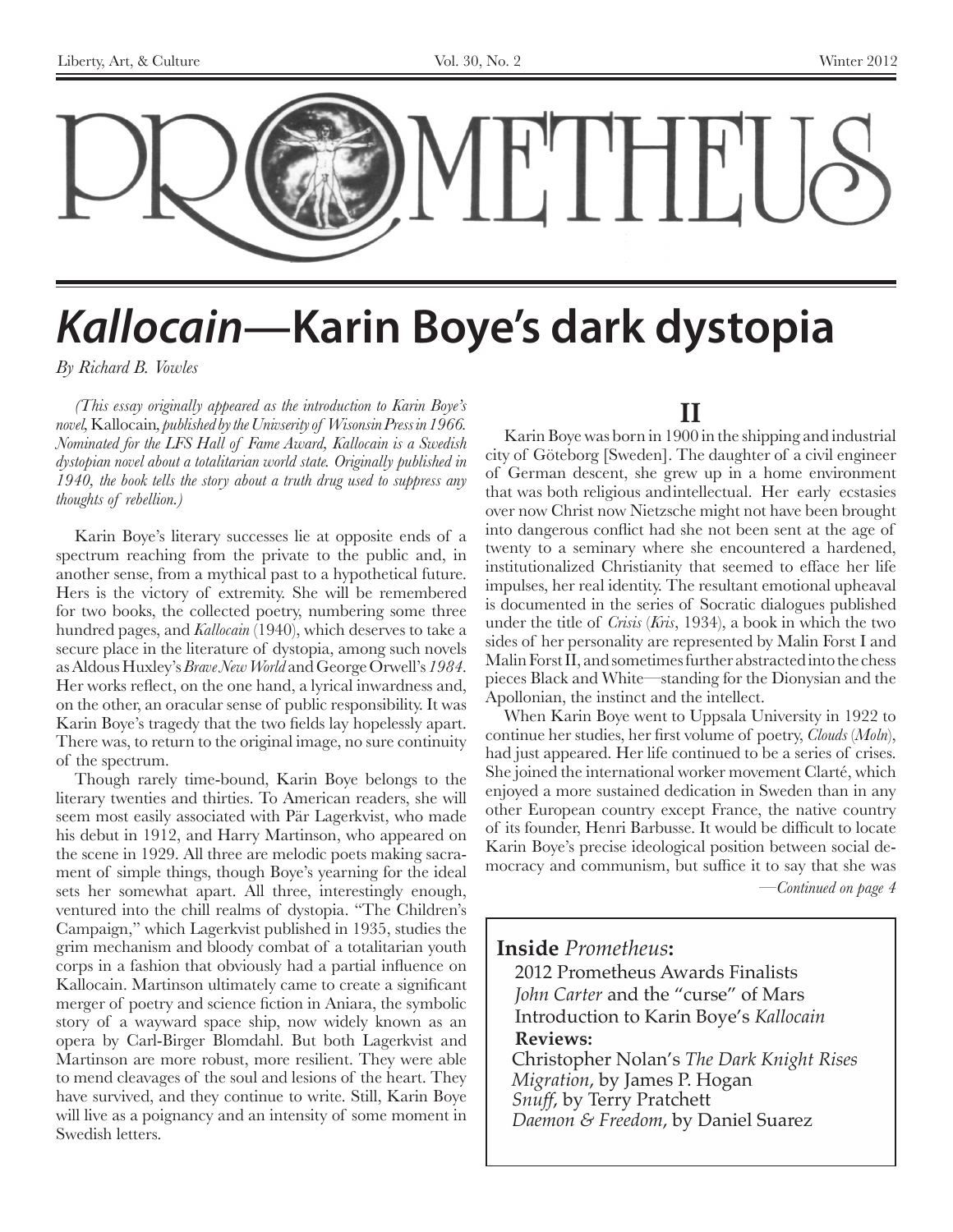

# **Kallocain—Karin Boye's dark dystopia**

*By Richard B. Vowles*

*(This essay originally appeared as the introduction to Karin Boye's novel,* Kallocain*, published by the Univserity of Wisonsin Press in 1966. Nominated for the LFS Hall of Fame Award, Kallocain is a Swedish dystopian novel about a totalitarian world state. Originally published in 1940, the book tells the story about a truth drug used to suppress any thoughts of rebellion.)*

Karin Boye's literary successes lie at opposite ends of a spectrum reaching from the private to the public and, in another sense, from a mythical past to a hypothetical future. Hers is the victory of extremity. She will be remembered for two books, the collected poetry, numbering some three hundred pages, and *Kallocain* (1940), which deserves to take a secure place in the literature of dystopia, among such novels as Aldous Huxley's *Brave New World* and George Orwell's *1984*. Her works reflect, on the one hand, a lyrical inwardness and, on the other, an oracular sense of public responsibility. It was Karin Boye's tragedy that the two fields lay hopelessly apart. There was, to return to the original image, no sure continuity of the spectrum.

Though rarely time-bound, Karin Boye belongs to the literary twenties and thirties. To American readers, she will seem most easily associated with Pär Lagerkvist, who made his debut in 1912, and Harry Martinson, who appeared on the scene in 1929. All three are melodic poets making sacrament of simple things, though Boye's yearning for the ideal sets her somewhat apart. All three, interestingly enough, ventured into the chill realms of dystopia. "The Children's Campaign," which Lagerkvist published in 1935, studies the grim mechanism and bloody combat of a totalitarian youth corps in a fashion that obviously had a partial influence on Kallocain. Martinson ultimately came to create a significant merger of poetry and science fiction in Aniara, the symbolic story of a wayward space ship, now widely known as an opera by Carl-Birger Blomdahl. But both Lagerkvist and Martinson are more robust, more resilient. They were able to mend cleavages of the soul and lesions of the heart. They have survived, and they continue to write. Still, Karin Boye will live as a poignancy and an intensity of some moment in Swedish letters.

## **II**

Karin Boye was born in 1900 in the shipping and industrial city of Göteborg [Sweden]. The daughter of a civil engineer of German descent, she grew up in a home environment that was both religious and intellectual. Her early ecstasies over now Christ now Nietzsche might not have been brought into dangerous conflict had she not been sent at the age of twenty to a seminary where she encountered a hardened, institutionalized Christianity that seemed to efface her life impulses, her real identity. The resultant emotional upheaval is documented in the series of Socratic dialogues published under the title of *Crisis* (*Kris*, 1934), a book in which the two sides of her personality are represented by Malin Forst I and Malin Forst II, and sometimes further abstracted into the chess pieces Black and White—standing for the Dionysian and the Apollonian, the instinct and the intellect.

When Karin Boye went to Uppsala University in 1922 to continue her studies, her first volume of poetry, *Clouds* (*Moln*), had just appeared. Her life continued to be a series of crises. She joined the international worker movement Clarté, which enjoyed a more sustained dedication in Sweden than in any other European country except France, the native country of its founder, Henri Barbusse. It would be difficult to locate Karin Boye's precise ideological position between social democracy and communism, but suffice it to say that she was

*—Continued on page 4*

**Inside** *Prometheus***:** 2012 Prometheus Awards Finalists *John Carter* and the "curse" of Mars Introduction to Karin Boye's *Kallocain* **Reviews:** Christopher Nolan's *The Dark Knight Rises Migration*, by James P. Hogan *Snuff*, by Terry Pratchett *Daemon & Freedom*, by Daniel Suarez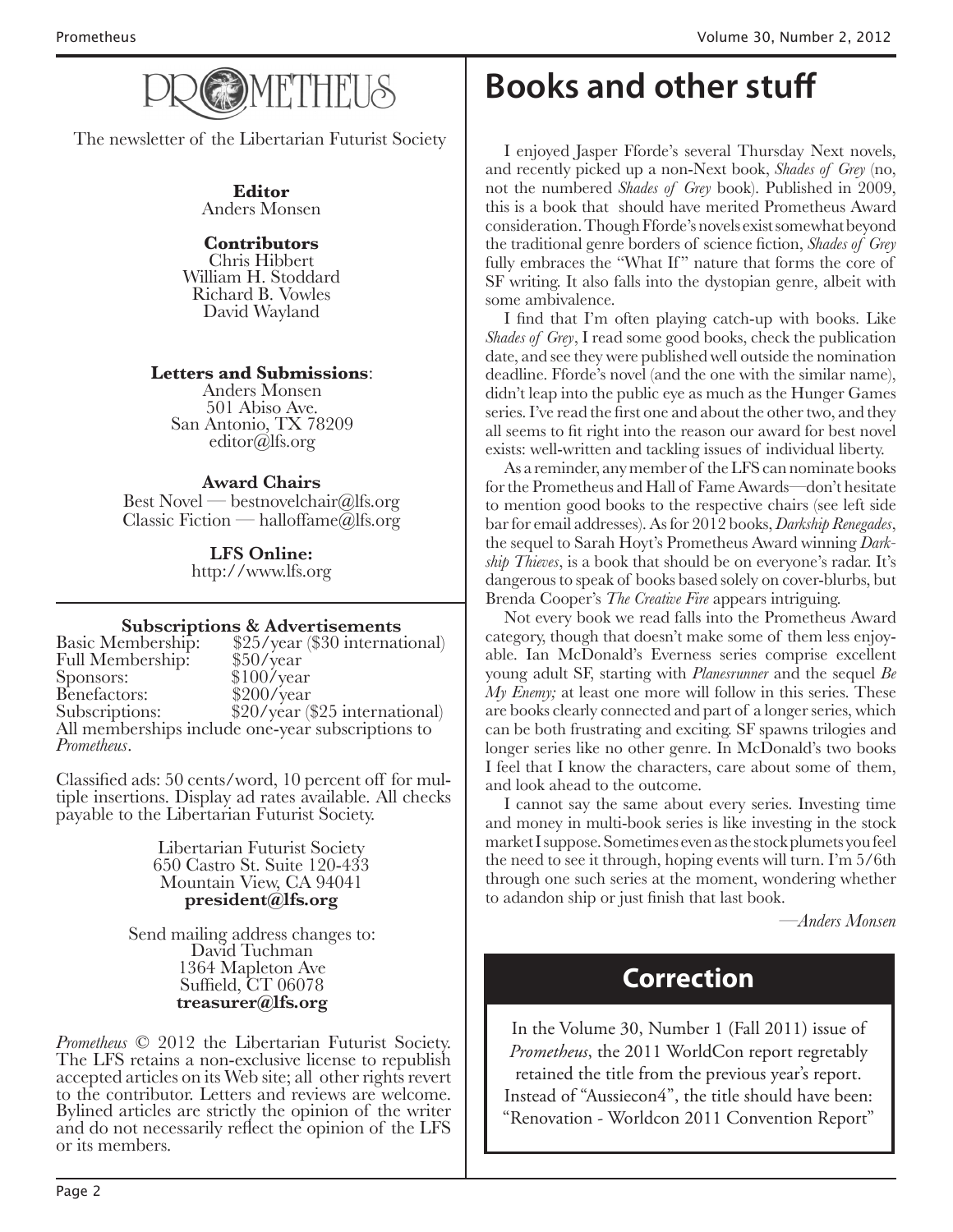

The newsletter of the Libertarian Futurist Society

**Editor** Anders Monsen

#### **Contributors**

Chris Hibbert William H. Stoddard Richard B. Vowles David Wayland

#### **Letters and Submissions**:

Anders Monsen 501 Abiso Ave. San Antonio, TX 78209 editor@lfs.org

#### **Award Chairs**

Best Novel — bestnovelchair@lfs.org Classic Fiction — halloffame@lfs.org

> **LFS Online:** http://www.lfs.org

**Subscriptions & Advertisements**<br>Basic Membership: \$25/year (\$30 internat \$25/year (\$30 international) \$50/year Full Membership:<br>Sponsors: \$100/year<br>\$200/year Benefactors:<br>Subscriptions: \$20/year (\$25 international) All memberships include one-year subscriptions to *Prometheus*.

Classified ads: 50 cents/word, 10 percent off for mul- tiple insertions. Display ad rates available. All checks payable to the Libertarian Futurist Society.

> Libertarian Futurist Society 650 Castro St. Suite 120-433 Mountain View, CA 94041 **president@lfs.org**

Send mailing address changes to: David Tuchman 1364 Mapleton Ave Suffield, CT 06078 **treasurer@lfs.org**

*Prometheus* © 2012 the Libertarian Futurist Society.<br>The LFS retains a non-exclusive license to republish accepted articles on its Web site; all other rights revert to the contributor. Letters and reviews are welcome. Bylined articles are strictly the opinion of the writer and do not necessarily reflect the opinion of the LFS or its members.

# **Books and other stuff**

I enjoyed Jasper Fforde's several Thursday Next novels, and recently picked up a non-Next book, *Shades of Grey* (no, not the numbered *Shades of Grey* book). Published in 2009, this is a book that should have merited Prometheus Award consideration. Though Fforde's novels exist somewhat beyond the traditional genre borders of science fiction, *Shades of Grey* fully embraces the "What If" nature that forms the core of SF writing. It also falls into the dystopian genre, albeit with some ambivalence.

I find that I'm often playing catch-up with books. Like *Shades of Grey*, I read some good books, check the publication date, and see they were published well outside the nomination deadline. Fforde's novel (and the one with the similar name), didn't leap into the public eye as much as the Hunger Games series. I've read the first one and about the other two, and they all seems to fit right into the reason our award for best novel exists: well-written and tackling issues of individual liberty.

As a reminder, any member of the LFS can nominate books for the Prometheus and Hall of Fame Awards—don't hesitate to mention good books to the respective chairs (see left side bar for email addresses). As for 2012 books, *Darkship Renegades*, the sequel to Sarah Hoyt's Prometheus Award winning *Darkship Thieves*, is a book that should be on everyone's radar. It's dangerous to speak of books based solely on cover-blurbs, but Brenda Cooper's *The Creative Fire* appears intriguing.

Not every book we read falls into the Prometheus Award category, though that doesn't make some of them less enjoyable. Ian McDonald's Everness series comprise excellent young adult SF, starting with *Planesrunner* and the sequel *Be My Enemy;* at least one more will follow in this series. These are books clearly connected and part of a longer series, which can be both frustrating and exciting. SF spawns trilogies and longer series like no other genre. In McDonald's two books I feel that I know the characters, care about some of them, and look ahead to the outcome.

I cannot say the same about every series. Investing time and money in multi-book series is like investing in the stock market I suppose. Sometimes even as the stock plumets you feel the need to see it through, hoping events will turn. I'm 5/6th through one such series at the moment, wondering whether to adandon ship or just finish that last book.

*—Anders Monsen*

# **Correction**

In the Volume 30, Number 1 (Fall 2011) issue of *Prometheus*, the 2011 WorldCon report regretably retained the title from the previous year's report. Instead of "Aussiecon4", the title should have been: "Renovation - Worldcon 2011 Convention Report"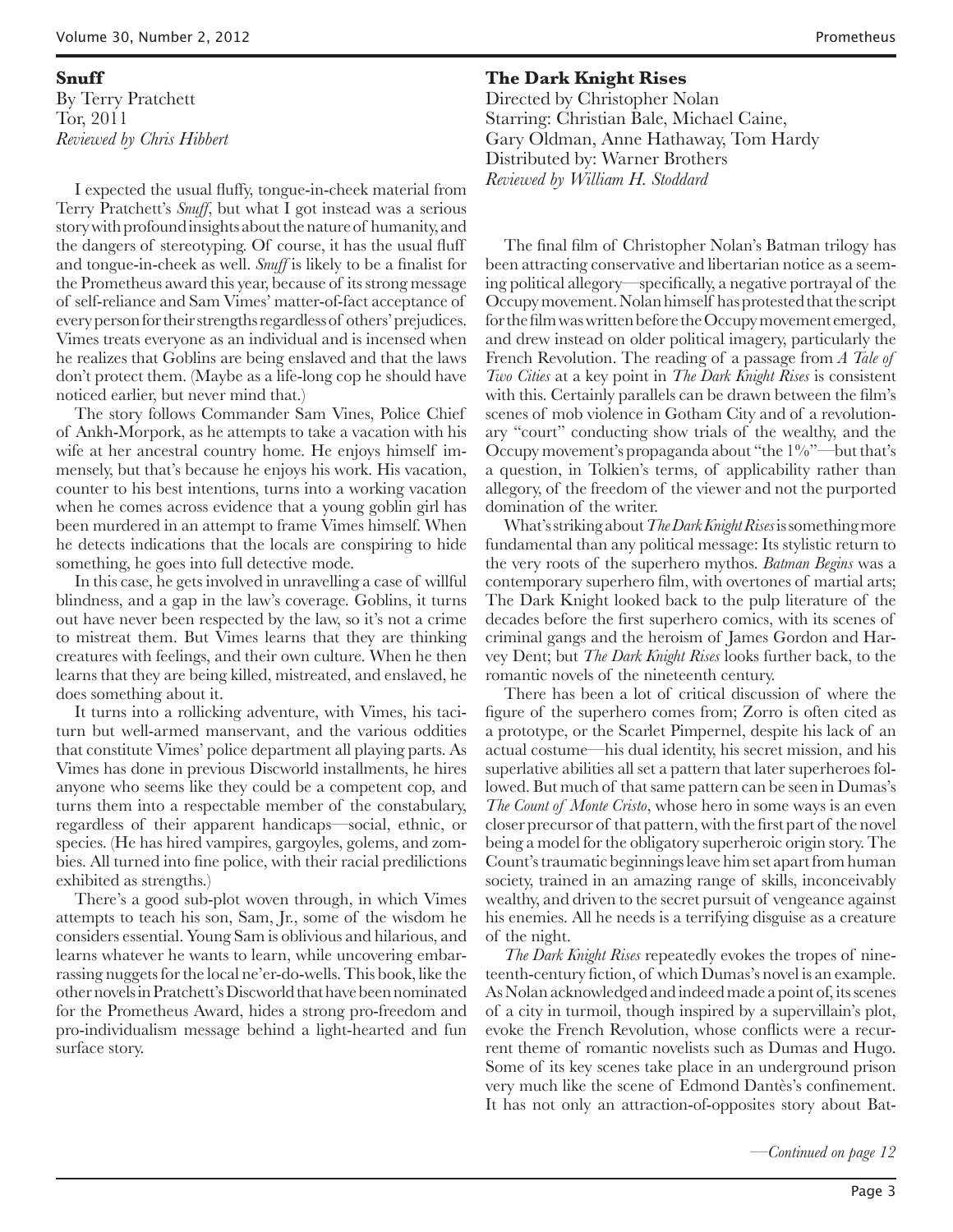#### **Snuff**

By Terry Pratchett Tor, 2011 *Reviewed by Chris Hibbert*

I expected the usual fluffy, tongue-in-cheek material from Terry Pratchett's *Snuff*, but what I got instead was a serious story with profound insights about the nature of humanity, and the dangers of stereotyping. Of course, it has the usual fluff and tongue-in-cheek as well. *Snuff* is likely to be a finalist for the Prometheus award this year, because of its strong message of self-reliance and Sam Vimes' matter-of-fact acceptance of every person for their strengths regardless of others' prejudices. Vimes treats everyone as an individual and is incensed when he realizes that Goblins are being enslaved and that the laws don't protect them. (Maybe as a life-long cop he should have noticed earlier, but never mind that.)

The story follows Commander Sam Vines, Police Chief of Ankh-Morpork, as he attempts to take a vacation with his wife at her ancestral country home. He enjoys himself immensely, but that's because he enjoys his work. His vacation, counter to his best intentions, turns into a working vacation when he comes across evidence that a young goblin girl has been murdered in an attempt to frame Vimes himself. When he detects indications that the locals are conspiring to hide something, he goes into full detective mode.

In this case, he gets involved in unravelling a case of willful blindness, and a gap in the law's coverage. Goblins, it turns out have never been respected by the law, so it's not a crime to mistreat them. But Vimes learns that they are thinking creatures with feelings, and their own culture. When he then learns that they are being killed, mistreated, and enslaved, he does something about it.

It turns into a rollicking adventure, with Vimes, his taciturn but well-armed manservant, and the various oddities that constitute Vimes' police department all playing parts. As Vimes has done in previous Discworld installments, he hires anyone who seems like they could be a competent cop, and turns them into a respectable member of the constabulary, regardless of their apparent handicaps—social, ethnic, or species. (He has hired vampires, gargoyles, golems, and zombies. All turned into fine police, with their racial predilictions exhibited as strengths.)

There's a good sub-plot woven through, in which Vimes attempts to teach his son, Sam, Jr., some of the wisdom he considers essential. Young Sam is oblivious and hilarious, and learns whatever he wants to learn, while uncovering embarrassing nuggets for the local ne'er-do-wells. This book, like the other novels in Pratchett's Discworld that have been nominated for the Prometheus Award, hides a strong pro-freedom and pro-individualism message behind a light-hearted and fun surface story.

### **The Dark Knight Rises**

Directed by Christopher Nolan Starring: Christian Bale, Michael Caine, Gary Oldman, Anne Hathaway, Tom Hardy Distributed by: Warner Brothers *Reviewed by William H. Stoddard*

The final film of Christopher Nolan's Batman trilogy has been attracting conservative and libertarian notice as a seeming political allegory—specifically, a negative portrayal of the Occupy movement. Nolan himself has protested that the script for the film was written before the Occupy movement emerged, and drew instead on older political imagery, particularly the French Revolution. The reading of a passage from *A Tale of Two Cities* at a key point in *The Dark Knight Rises* is consistent with this. Certainly parallels can be drawn between the film's scenes of mob violence in Gotham City and of a revolutionary "court" conducting show trials of the wealthy, and the Occupy movement's propaganda about "the 1%"—but that's a question, in Tolkien's terms, of applicability rather than allegory, of the freedom of the viewer and not the purported domination of the writer.

What's striking about *The Dark Knight Rises* is something more fundamental than any political message: Its stylistic return to the very roots of the superhero mythos. *Batman Begins* was a contemporary superhero film, with overtones of martial arts; The Dark Knight looked back to the pulp literature of the decades before the first superhero comics, with its scenes of criminal gangs and the heroism of James Gordon and Harvey Dent; but *The Dark Knight Rises* looks further back, to the romantic novels of the nineteenth century.

There has been a lot of critical discussion of where the figure of the superhero comes from; Zorro is often cited as a prototype, or the Scarlet Pimpernel, despite his lack of an actual costume—his dual identity, his secret mission, and his superlative abilities all set a pattern that later superheroes followed. But much of that same pattern can be seen in Dumas's *The Count of Monte Cristo*, whose hero in some ways is an even closer precursor of that pattern, with the first part of the novel being a model for the obligatory superheroic origin story. The Count's traumatic beginnings leave him set apart from human society, trained in an amazing range of skills, inconceivably wealthy, and driven to the secret pursuit of vengeance against his enemies. All he needs is a terrifying disguise as a creature of the night.

*The Dark Knight Rises* repeatedly evokes the tropes of nineteenth-century fiction, of which Dumas's novel is an example. As Nolan acknowledged and indeed made a point of, its scenes of a city in turmoil, though inspired by a supervillain's plot, evoke the French Revolution, whose conflicts were a recurrent theme of romantic novelists such as Dumas and Hugo. Some of its key scenes take place in an underground prison very much like the scene of Edmond Dantès's confinement. It has not only an attraction-of-opposites story about Bat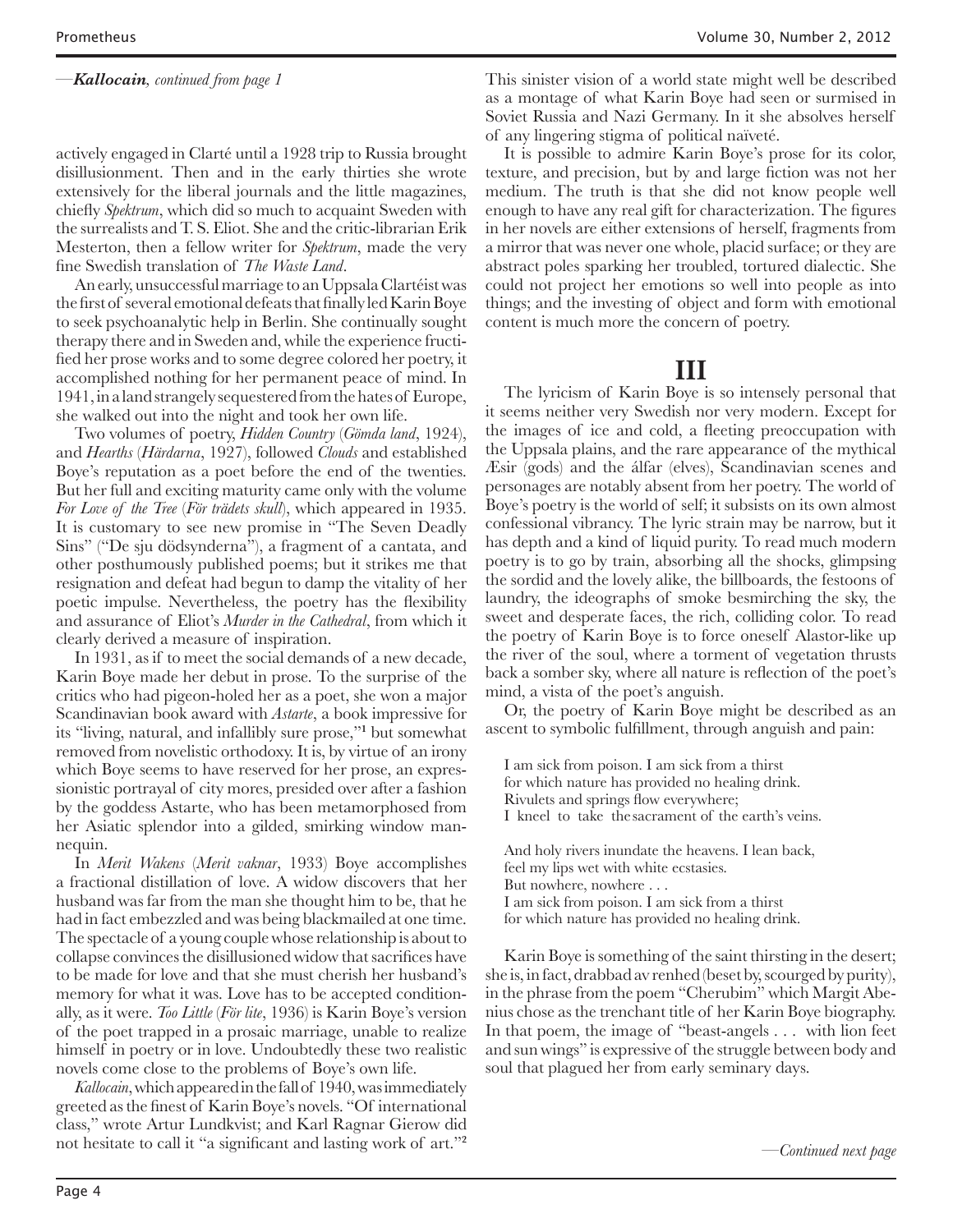actively engaged in Clarté until a 1928 trip to Russia brought disillusionment. Then and in the early thirties she wrote extensively for the liberal journals and the little magazines, chiefly *Spektrum*, which did so much to acquaint Sweden with the surrealists and T. S. Eliot. She and the critic-librarian Erik Mesterton, then a fellow writer for *Spektrum*, made the very fine Swedish translation of *The Waste Land*.

An early, unsuccessful marriage to an Uppsala Clartéist was the first of several emotional defeats that finally led Karin Boye to seek psychoanalytic help in Berlin. She continually sought therapy there and in Sweden and, while the experience fructified her prose works and to some degree colored her poetry, it accomplished nothing for her permanent peace of mind. In 1941, in a land strangely sequestered from the hates of Europe, she walked out into the night and took her own life.

Two volumes of poetry, *Hidden Country* (*Gömda land*, 1924), and *Hearths* (*Härdarna*, 1927), followed *Clouds* and established Boye's reputation as a poet before the end of the twenties. But her full and exciting maturity came only with the volume *For Love of the Tree* (*För trädets skull*), which appeared in 1935. It is customary to see new promise in "The Seven Deadly Sins" ("De sju dödsynderna"), a fragment of a cantata, and other posthumously published poems; but it strikes me that resignation and defeat had begun to damp the vitality of her poetic impulse. Nevertheless, the poetry has the flexibility and assurance of Eliot's *Murder in the Cathedral*, from which it clearly derived a measure of inspiration.

In 1931, as if to meet the social demands of a new decade, Karin Boye made her debut in prose. To the surprise of the critics who had pigeon-holed her as a poet, she won a major Scandinavian book award with *Astarte*, a book impressive for its "living, natural, and infallibly sure prose,"**<sup>1</sup>** but somewhat removed from novelistic orthodoxy. It is, by virtue of an irony which Boye seems to have reserved for her prose, an expressionistic portrayal of city mores, presided over after a fashion by the goddess Astarte, who has been metamorphosed from her Asiatic splendor into a gilded, smirking window mannequin.

In *Merit Wakens* (*Merit vaknar*, 1933) Boye accomplishes a fractional distillation of love. A widow discovers that her husband was far from the man she thought him to be, that he had in fact embezzled and was being blackmailed at one time. The spectacle of a young couple whose relationship is about to collapse convinces the disillusioned widow that sacrifices have to be made for love and that she must cherish her husband's memory for what it was. Love has to be accepted conditionally, as it were. *Too Little* (*För lite*, 1936) is Karin Boye's version of the poet trapped in a prosaic marriage, unable to realize himself in poetry or in love. Undoubtedly these two realistic novels come close to the problems of Boye's own life.

*Kallocain*, which appeared in the fall of 1940, was immediately greeted as the finest of Karin Boye's novels. "Of international class," wrote Artur Lundkvist; and Karl Ragnar Gierow did not hesitate to call it "a significant and lasting work of art."**<sup>2</sup>**

This sinister vision of a world state might well be described as a montage of what Karin Boye had seen or surmised in Soviet Russia and Nazi Germany. In it she absolves herself of any lingering stigma of political naïveté.

It is possible to admire Karin Boye's prose for its color, texture, and precision, but by and large fiction was not her medium. The truth is that she did not know people well enough to have any real gift for characterization. The figures in her novels are either extensions of herself, fragments from a mirror that was never one whole, placid surface; or they are abstract poles sparking her troubled, tortured dialectic. She could not project her emotions so well into people as into things; and the investing of object and form with emotional content is much more the concern of poetry.

### **III**

The lyricism of Karin Boye is so intensely personal that it seems neither very Swedish nor very modern. Except for the images of ice and cold, a fleeting preoccupation with the Uppsala plains, and the rare appearance of the mythical Æsir (gods) and the álfar (elves), Scandinavian scenes and personages are notably absent from her poetry. The world of Boye's poetry is the world of self; it subsists on its own almost confessional vibrancy. The lyric strain may be narrow, but it has depth and a kind of liquid purity. To read much modern poetry is to go by train, absorbing all the shocks, glimpsing the sordid and the lovely alike, the billboards, the festoons of laundry, the ideographs of smoke besmirching the sky, the sweet and desperate faces, the rich, colliding color. To read the poetry of Karin Boye is to force oneself Alastor-like up the river of the soul, where a torment of vegetation thrusts back a somber sky, where all nature is reflection of the poet's mind, a vista of the poet's anguish.

Or, the poetry of Karin Boye might be described as an ascent to symbolic fulfillment, through anguish and pain:

I am sick from poison. I am sick from a thirst for which nature has provided no healing drink. Rivulets and springs flow everywhere; I kneel to take the sacrament of the earth's veins. And holy rivers inundate the heavens. I lean back, feel my lips wet with white ecstasies.

But nowhere, nowhere . . . I am sick from poison. I am sick from a thirst for which nature has provided no healing drink.

Karin Boye is something of the saint thirsting in the desert; she is, in fact, drabbad av renhed (beset by, scourged by purity), in the phrase from the poem "Cherubim" which Margit Abenius chose as the trenchant title of her Karin Boye biography. In that poem, the image of "beast-angels . . . with lion feet and sun wings" is expressive of the struggle between body and soul that plagued her from early seminary days.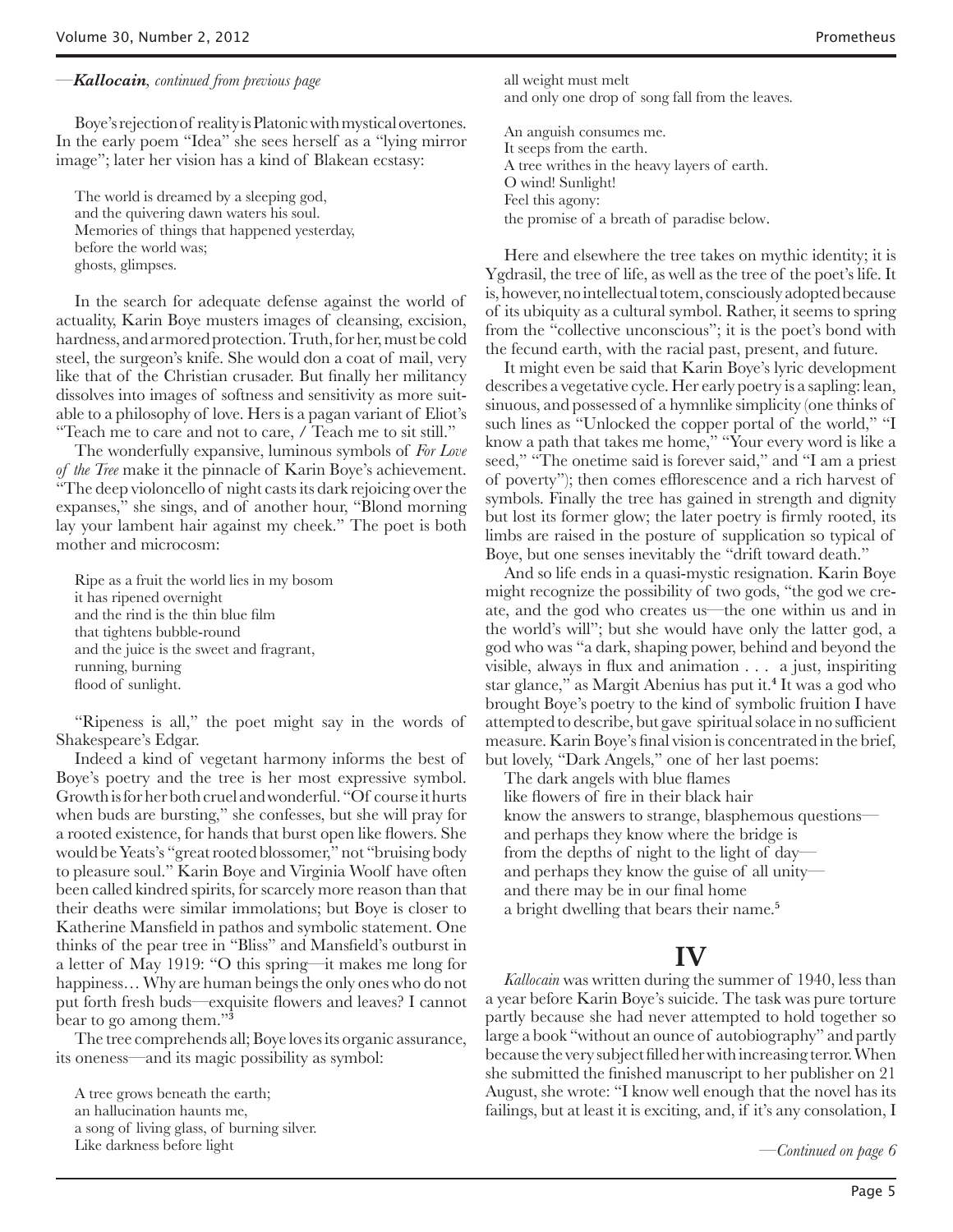#### *—Kallocain, continued from previous page*

Boye's rejection of reality is Platonic with mystical overtones. In the early poem "Idea" she sees herself as a "lying mirror image"; later her vision has a kind of Blakean ecstasy:

The world is dreamed by a sleeping god, and the quivering dawn waters his soul. Memories of things that happened yesterday, before the world was; ghosts, glimpses.

In the search for adequate defense against the world of actuality, Karin Boye musters images of cleansing, excision, hardness, and armored protection. Truth, for her, must be cold steel, the surgeon's knife. She would don a coat of mail, very like that of the Christian crusader. But finally her militancy dissolves into images of softness and sensitivity as more suitable to a philosophy of love. Hers is a pagan variant of Eliot's "Teach me to care and not to care, / Teach me to sit still."

The wonderfully expansive, luminous symbols of *For Love of the Tree* make it the pinnacle of Karin Boye's achievement. "The deep violoncello of night casts its dark rejoicing over the expanses," she sings, and of another hour, "Blond morning lay your lambent hair against my cheek." The poet is both mother and microcosm:

Ripe as a fruit the world lies in my bosom it has ripened overnight and the rind is the thin blue film that tightens bubble-round and the juice is the sweet and fragrant, running, burning flood of sunlight.

"Ripeness is all," the poet might say in the words of Shakespeare's Edgar.

Indeed a kind of vegetant harmony informs the best of Boye's poetry and the tree is her most expressive symbol. Growth is for her both cruel and wonderful. "Of course it hurts when buds are bursting," she confesses, but she will pray for a rooted existence, for hands that burst open like flowers. She would be Yeats's "great rooted blossomer," not "bruising body to pleasure soul." Karin Boye and Virginia Woolf have often been called kindred spirits, for scarcely more reason than that their deaths were similar immolations; but Boye is closer to Katherine Mansfield in pathos and symbolic statement. One thinks of the pear tree in "Bliss" and Mansfield's outburst in a letter of May 1919: "O this spring—it makes me long for happiness… Why are human beings the only ones who do not put forth fresh buds—exquisite flowers and leaves? I cannot bear to go among them."**<sup>3</sup>**

The tree comprehends all; Boye loves its organic assurance, its oneness—and its magic possibility as symbol:

A tree grows beneath the earth; an hallucination haunts me, a song of living glass, of burning silver. Like darkness before light

all weight must melt and only one drop of song fall from the leaves.

An anguish consumes me. It seeps from the earth. A tree writhes in the heavy layers of earth. O wind! Sunlight! Feel this agony: the promise of a breath of paradise below.

Here and elsewhere the tree takes on mythic identity; it is Ygdrasil, the tree of life, as well as the tree of the poet's life. It is, however, no intellectual totem, consciously adopted because of its ubiquity as a cultural symbol. Rather, it seems to spring from the "collective unconscious"; it is the poet's bond with the fecund earth, with the racial past, present, and future.

It might even be said that Karin Boye's lyric development describes a vegetative cycle. Her early poetry is a sapling: lean, sinuous, and possessed of a hymnlike simplicity (one thinks of such lines as "Unlocked the copper portal of the world," "I know a path that takes me home," "Your every word is like a seed," "The onetime said is forever said," and "I am a priest of poverty"); then comes efflorescence and a rich harvest of symbols. Finally the tree has gained in strength and dignity but lost its former glow; the later poetry is firmly rooted, its limbs are raised in the posture of supplication so typical of Boye, but one senses inevitably the "drift toward death."

And so life ends in a quasi-mystic resignation. Karin Boye might recognize the possibility of two gods, "the god we create, and the god who creates us—the one within us and in the world's will"; but she would have only the latter god, a god who was "a dark, shaping power, behind and beyond the visible, always in flux and animation . . . a just, inspiriting star glance," as Margit Abenius has put it.**<sup>4</sup>** It was a god who brought Boye's poetry to the kind of symbolic fruition I have attempted to describe, but gave spiritual solace in no sufficient measure. Karin Boye's final vision is concentrated in the brief, but lovely, "Dark Angels," one of her last poems:

The dark angels with blue flames like flowers of fire in their black hair know the answers to strange, blasphemous questions and perhaps they know where the bridge is from the depths of night to the light of day and perhaps they know the guise of all unity and there may be in our final home a bright dwelling that bears their name.**<sup>5</sup>**

### **IV**

*Kallocain* was written during the summer of 1940, less than a year before Karin Boye's suicide. The task was pure torture partly because she had never attempted to hold together so large a book "without an ounce of autobiography" and partly because the very subject filled her with increasing terror. When she submitted the finished manuscript to her publisher on 21 August, she wrote: "I know well enough that the novel has its failings, but at least it is exciting, and, if it's any consolation, I

*—Continued on page 6*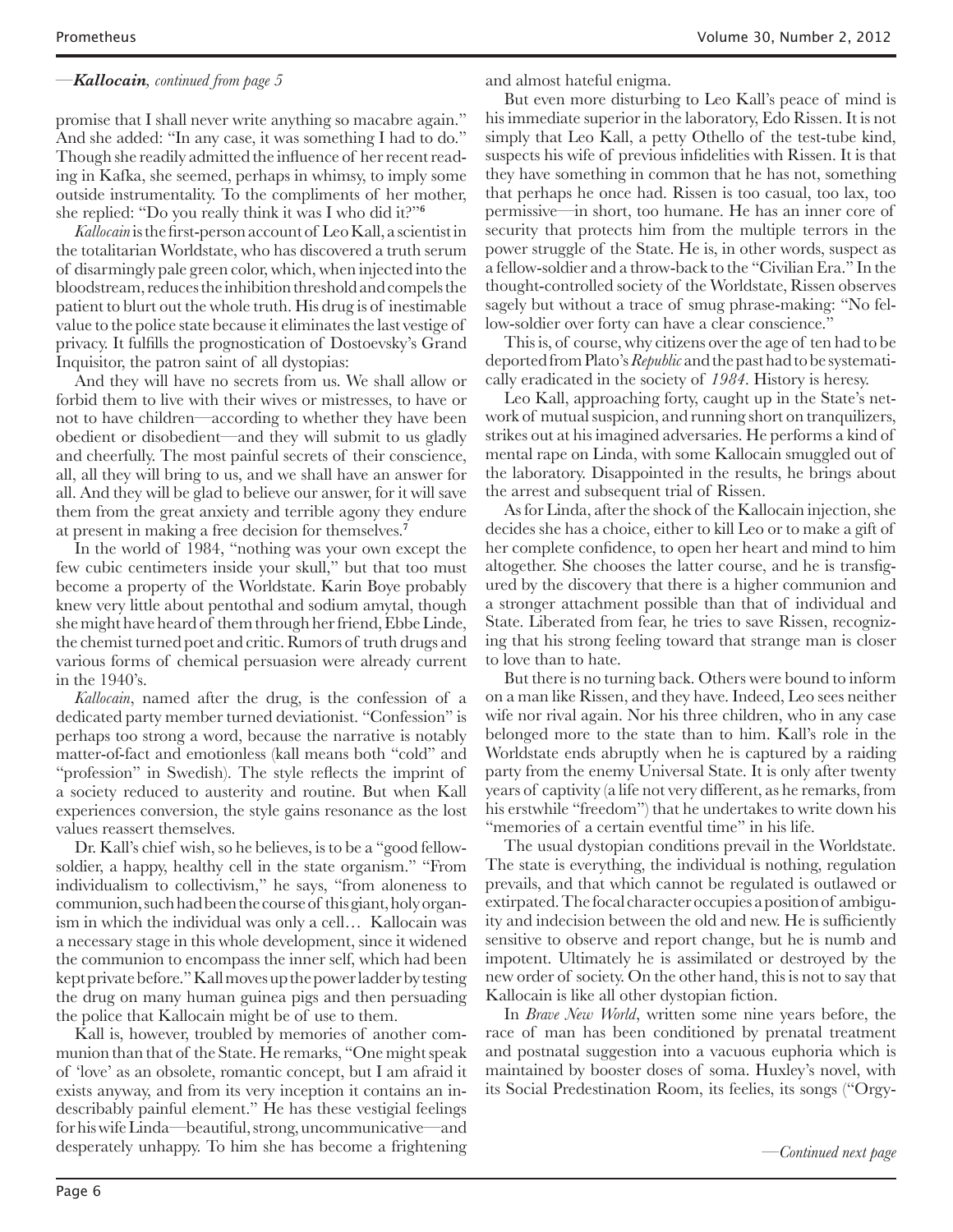#### *—Kallocain, continued from page 5*

promise that I shall never write anything so macabre again." And she added: "In any case, it was something I had to do." Though she readily admitted the influence of her recent reading in Kafka, she seemed, perhaps in whimsy, to imply some outside instrumentality. To the compliments of her mother, she replied: "Do you really think it was I who did it?"**<sup>6</sup>**

*Kallocain* is the first-person account of Leo Kall, a scientist in the totalitarian Worldstate, who has discovered a truth serum of disarmingly pale green color, which, when injected into the bloodstream, reduces the inhibition threshold and compels the patient to blurt out the whole truth. His drug is of inestimable value to the police state because it eliminates the last vestige of privacy. It fulfills the prognostication of Dostoevsky's Grand Inquisitor, the patron saint of all dystopias:

And they will have no secrets from us. We shall allow or forbid them to live with their wives or mistresses, to have or not to have children—according to whether they have been obedient or disobedient—and they will submit to us gladly and cheerfully. The most painful secrets of their conscience, all, all they will bring to us, and we shall have an answer for all. And they will be glad to believe our answer, for it will save them from the great anxiety and terrible agony they endure at present in making a free decision for themselves.**<sup>7</sup>**

In the world of 1984, "nothing was your own except the few cubic centimeters inside your skull," but that too must become a property of the Worldstate. Karin Boye probably knew very little about pentothal and sodium amytal, though she might have heard of them through her friend, Ebbe Linde, the chemist turned poet and critic. Rumors of truth drugs and various forms of chemical persuasion were already current in the 1940's.

*Kallocain*, named after the drug, is the confession of a dedicated party member turned deviationist. "Confession" is perhaps too strong a word, because the narrative is notably matter-of-fact and emotionless (kall means both "cold" and "profession" in Swedish). The style reflects the imprint of a society reduced to austerity and routine. But when Kall experiences conversion, the style gains resonance as the lost values reassert themselves.

Dr. Kall's chief wish, so he believes, is to be a "good fellowsoldier, a happy, healthy cell in the state organism." "From individualism to collectivism," he says, "from aloneness to communion, such had been the course of this giant, holy organism in which the individual was only a cell… Kallocain was a necessary stage in this whole development, since it widened the communion to encompass the inner self, which had been kept private before." Kall moves up the power ladder by testing the drug on many human guinea pigs and then persuading the police that Kallocain might be of use to them.

Kall is, however, troubled by memories of another communion than that of the State. He remarks, "One might speak of 'love' as an obsolete, romantic concept, but I am afraid it exists anyway, and from its very inception it contains an indescribably painful element." He has these vestigial feelings for his wife Linda—beautiful, strong, uncommunicative—and desperately unhappy. To him she has become a frightening and almost hateful enigma.

But even more disturbing to Leo Kall's peace of mind is his immediate superior in the laboratory, Edo Rissen. It is not simply that Leo Kall, a petty Othello of the test-tube kind, suspects his wife of previous infidelities with Rissen. It is that they have something in common that he has not, something that perhaps he once had. Rissen is too casual, too lax, too permissive—in short, too humane. He has an inner core of security that protects him from the multiple terrors in the power struggle of the State. He is, in other words, suspect as a fellow-soldier and a throw-back to the "Civilian Era." In the thought-controlled society of the Worldstate, Rissen observes sagely but without a trace of smug phrase-making: "No fellow-soldier over forty can have a clear conscience.'

This is, of course, why citizens over the age of ten had to be deported from Plato's *Republic* and the past had to be systematically eradicated in the society of *1984*. History is heresy.

Leo Kall, approaching forty, caught up in the State's network of mutual suspicion, and running short on tranquilizers, strikes out at his imagined adversaries. He performs a kind of mental rape on Linda, with some Kallocain smuggled out of the laboratory. Disappointed in the results, he brings about the arrest and subsequent trial of Rissen.

As for Linda, after the shock of the Kallocain injection, she decides she has a choice, either to kill Leo or to make a gift of her complete confidence, to open her heart and mind to him altogether. She chooses the latter course, and he is transfigured by the discovery that there is a higher communion and a stronger attachment possible than that of individual and State. Liberated from fear, he tries to save Rissen, recognizing that his strong feeling toward that strange man is closer to love than to hate.

But there is no turning back. Others were bound to inform on a man like Rissen, and they have. Indeed, Leo sees neither wife nor rival again. Nor his three children, who in any case belonged more to the state than to him. Kall's role in the Worldstate ends abruptly when he is captured by a raiding party from the enemy Universal State. It is only after twenty years of captivity (a life not very different, as he remarks, from his erstwhile "freedom") that he undertakes to write down his "memories of a certain eventful time" in his life.

The usual dystopian conditions prevail in the Worldstate. The state is everything, the individual is nothing, regulation prevails, and that which cannot be regulated is outlawed or extirpated. The focal character occupies a position of ambiguity and indecision between the old and new. He is sufficiently sensitive to observe and report change, but he is numb and impotent. Ultimately he is assimilated or destroyed by the new order of society. On the other hand, this is not to say that Kallocain is like all other dystopian fiction.

In *Brave New World*, written some nine years before, the race of man has been conditioned by prenatal treatment and postnatal suggestion into a vacuous euphoria which is maintained by booster doses of soma. Huxley's novel, with its Social Predestination Room, its feelies, its songs ("Orgy-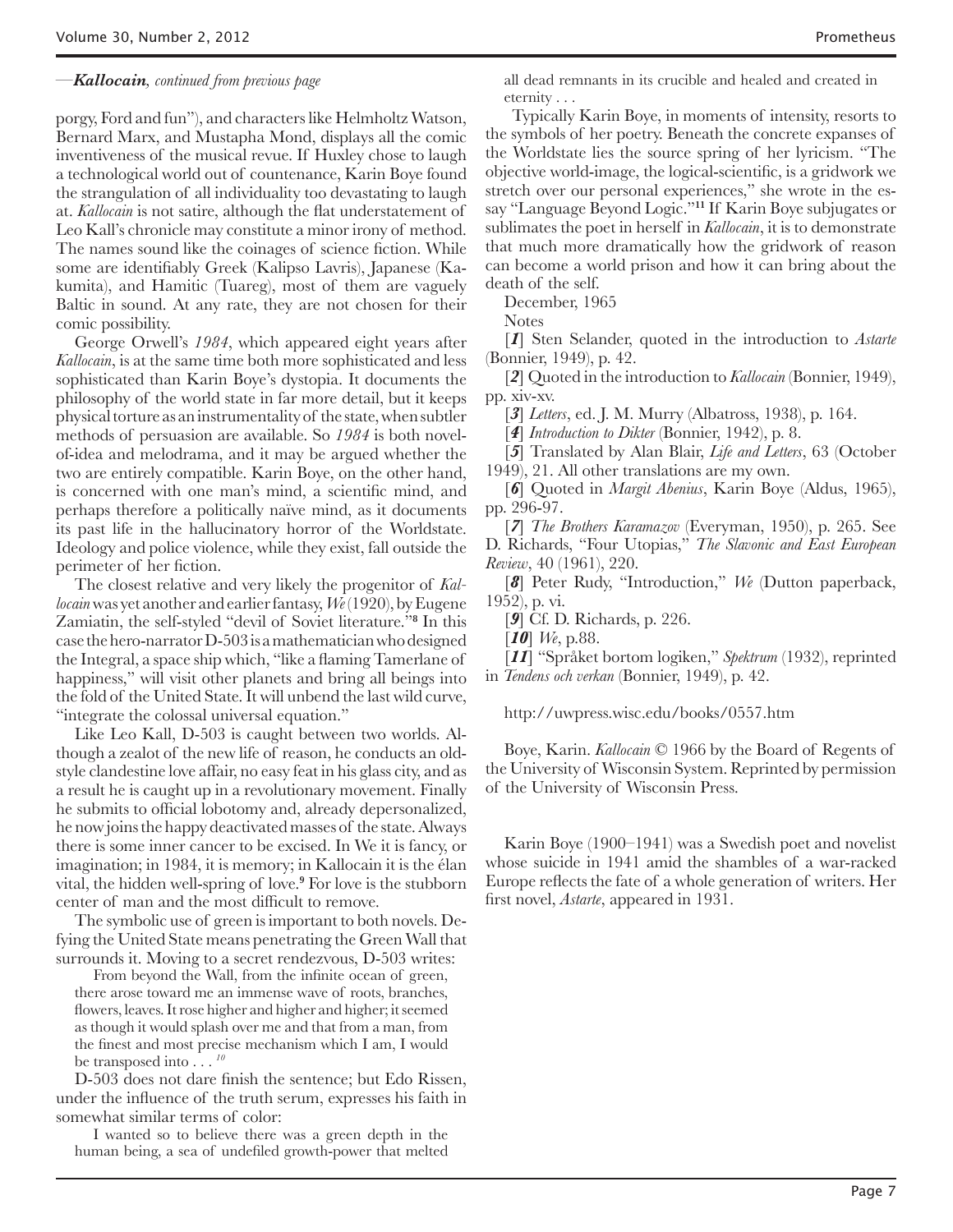#### *—Kallocain, continued from previous page*

porgy, Ford and fun"), and characters like Helmholtz Watson, Bernard Marx, and Mustapha Mond, displays all the comic inventiveness of the musical revue. If Huxley chose to laugh a technological world out of countenance, Karin Boye found the strangulation of all individuality too devastating to laugh at. *Kallocain* is not satire, although the flat understatement of Leo Kall's chronicle may constitute a minor irony of method. The names sound like the coinages of science fiction. While some are identifiably Greek (Kalipso Lavris), Japanese (Kakumita), and Hamitic (Tuareg), most of them are vaguely Baltic in sound. At any rate, they are not chosen for their comic possibility.

George Orwell's *1984*, which appeared eight years after *Kallocain*, is at the same time both more sophisticated and less sophisticated than Karin Boye's dystopia. It documents the philosophy of the world state in far more detail, but it keeps physical torture as an instrumentality of the state, when subtler methods of persuasion are available. So *1984* is both novelof-idea and melodrama, and it may be argued whether the two are entirely compatible. Karin Boye, on the other hand, is concerned with one man's mind, a scientific mind, and perhaps therefore a politically naïve mind, as it documents its past life in the hallucinatory horror of the Worldstate. Ideology and police violence, while they exist, fall outside the perimeter of her fiction.

The closest relative and very likely the progenitor of *Kallocain* was yet another and earlier fantasy, *We* (1920), by Eugene Zamiatin, the self-styled "devil of Soviet literature."**<sup>8</sup>** In this case the hero-narrator D-503 is a mathematician who designed the Integral, a space ship which, "like a flaming Tamerlane of happiness," will visit other planets and bring all beings into the fold of the United State. It will unbend the last wild curve, "integrate the colossal universal equation."

Like Leo Kall, D-503 is caught between two worlds. Although a zealot of the new life of reason, he conducts an oldstyle clandestine love affair, no easy feat in his glass city, and as a result he is caught up in a revolutionary movement. Finally he submits to official lobotomy and, already depersonalized, he now joins the happy deactivated masses of the state. Always there is some inner cancer to be excised. In We it is fancy, or imagination; in 1984, it is memory; in Kallocain it is the élan vital, the hidden well-spring of love.**<sup>9</sup>** For love is the stubborn center of man and the most difficult to remove.

The symbolic use of green is important to both novels. Defying the United State means penetrating the Green Wall that surrounds it. Moving to a secret rendezvous, D-503 writes:

From beyond the Wall, from the infinite ocean of green, there arose toward me an immense wave of roots, branches, flowers, leaves. It rose higher and higher and higher; it seemed as though it would splash over me and that from a man, from the finest and most precise mechanism which I am, I would be transposed into . . . *<sup>10</sup>*

D-503 does not dare finish the sentence; but Edo Rissen, under the influence of the truth serum, expresses his faith in somewhat similar terms of color:

I wanted so to believe there was a green depth in the human being, a sea of undefiled growth-power that melted all dead remnants in its crucible and healed and created in eternity . . .

 Typically Karin Boye, in moments of intensity, resorts to the symbols of her poetry. Beneath the concrete expanses of the Worldstate lies the source spring of her lyricism. "The objective world-image, the logical-scientific, is a gridwork we stretch over our personal experiences," she wrote in the essay "Language Beyond Logic."**<sup>11</sup>** If Karin Boye subjugates or sublimates the poet in herself in *Kallocain*, it is to demonstrate that much more dramatically how the gridwork of reason can become a world prison and how it can bring about the death of the self.

December, 1965

Notes

[*1*] Sten Selander, quoted in the introduction to *Astarte* (Bonnier, 1949), p. 42.

[*2*] Quoted in the introduction to *Kallocain* (Bonnier, 1949), pp. xiv-xv.

[*3*] *Letters*, ed. J. M. Murry (Albatross, 1938), p. 164.

[*4*] *Introduction to Dikter* (Bonnier, 1942), p. 8.

[*5*] Translated by Alan Blair, *Life and Letters*, 63 (October

1949), 21. All other translations are my own.

[*6*] Quoted in *Margit Abenius*, Karin Boye (Aldus, 1965), pp. 296-97.

[*7*] *The Brothers Karamazov* (Everyman, 1950), p. 265. See D. Richards, "Four Utopias," *The Slavonic and East European Review*, 40 (1961), 220.

[*8*] Peter Rudy, "Introduction," *We* (Dutton paperback, 1952), p. vi.

[*9*] Cf. D. Richards, p. 226.

[*10*] *We*, p.88.

[*11*] "Språket bortom logiken," *Spektrum* (1932), reprinted in *Tendens och verkan* (Bonnier, 1949), p. 42.

http://uwpress.wisc.edu/books/0557.htm

Boye, Karin. *Kallocain* © 1966 by the Board of Regents of the University of Wisconsin System. Reprinted by permission of the University of Wisconsin Press.

Karin Boye (1900–1941) was a Swedish poet and novelist whose suicide in 1941 amid the shambles of a war-racked Europe reflects the fate of a whole generation of writers. Her first novel, *Astarte*, appeared in 1931.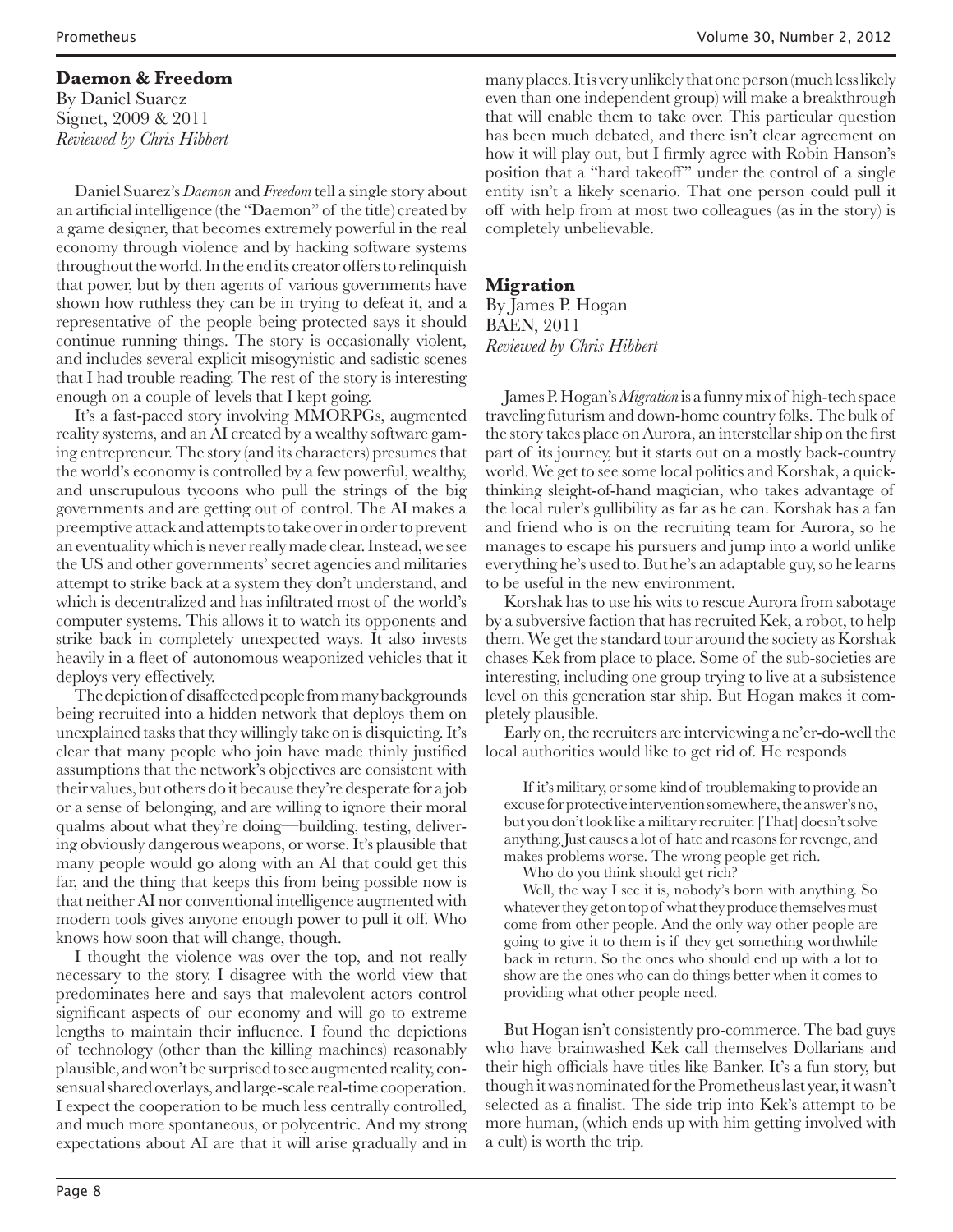#### **Daemon & Freedom**

By Daniel Suarez Signet, 2009 & 2011 *Reviewed by Chris Hibbert*

Daniel Suarez's *Daemon* and *Freedom* tell a single story about an artificial intelligence (the "Daemon" of the title) created by a game designer, that becomes extremely powerful in the real economy through violence and by hacking software systems throughout the world. In the end its creator offers to relinquish that power, but by then agents of various governments have shown how ruthless they can be in trying to defeat it, and a representative of the people being protected says it should continue running things. The story is occasionally violent, and includes several explicit misogynistic and sadistic scenes that I had trouble reading. The rest of the story is interesting enough on a couple of levels that I kept going.

It's a fast-paced story involving MMORPGs, augmented reality systems, and an AI created by a wealthy software gaming entrepreneur. The story (and its characters) presumes that the world's economy is controlled by a few powerful, wealthy, and unscrupulous tycoons who pull the strings of the big governments and are getting out of control. The AI makes a preemptive attack and attempts to take over in order to prevent an eventuality which is never really made clear. Instead, we see the US and other governments' secret agencies and militaries attempt to strike back at a system they don't understand, and which is decentralized and has infiltrated most of the world's computer systems. This allows it to watch its opponents and strike back in completely unexpected ways. It also invests heavily in a fleet of autonomous weaponized vehicles that it deploys very effectively.

The depiction of disaffected people from many backgrounds being recruited into a hidden network that deploys them on unexplained tasks that they willingly take on is disquieting. It's clear that many people who join have made thinly justified assumptions that the network's objectives are consistent with their values, but others do it because they're desperate for a job or a sense of belonging, and are willing to ignore their moral qualms about what they're doing—building, testing, delivering obviously dangerous weapons, or worse. It's plausible that many people would go along with an AI that could get this far, and the thing that keeps this from being possible now is that neither AI nor conventional intelligence augmented with modern tools gives anyone enough power to pull it off. Who knows how soon that will change, though.

I thought the violence was over the top, and not really necessary to the story. I disagree with the world view that predominates here and says that malevolent actors control significant aspects of our economy and will go to extreme lengths to maintain their influence. I found the depictions of technology (other than the killing machines) reasonably plausible, and won't be surprised to see augmented reality, consensual shared overlays, and large-scale real-time cooperation. I expect the cooperation to be much less centrally controlled, and much more spontaneous, or polycentric. And my strong expectations about AI are that it will arise gradually and in

many places. It is very unlikely that one person (much less likely even than one independent group) will make a breakthrough that will enable them to take over. This particular question has been much debated, and there isn't clear agreement on how it will play out, but I firmly agree with Robin Hanson's position that a "hard takeoff" under the control of a single entity isn't a likely scenario. That one person could pull it off with help from at most two colleagues (as in the story) is completely unbelievable.

#### **Migration**

By James P. Hogan BAEN, 2011 *Reviewed by Chris Hibbert*

James P. Hogan's *Migration* is a funny mix of high-tech space traveling futurism and down-home country folks. The bulk of the story takes place on Aurora, an interstellar ship on the first part of its journey, but it starts out on a mostly back-country world. We get to see some local politics and Korshak, a quickthinking sleight-of-hand magician, who takes advantage of the local ruler's gullibility as far as he can. Korshak has a fan and friend who is on the recruiting team for Aurora, so he manages to escape his pursuers and jump into a world unlike everything he's used to. But he's an adaptable guy, so he learns to be useful in the new environment.

Korshak has to use his wits to rescue Aurora from sabotage by a subversive faction that has recruited Kek, a robot, to help them. We get the standard tour around the society as Korshak chases Kek from place to place. Some of the sub-societies are interesting, including one group trying to live at a subsistence level on this generation star ship. But Hogan makes it completely plausible.

Early on, the recruiters are interviewing a ne'er-do-well the local authorities would like to get rid of. He responds

If it's military, or some kind of troublemaking to provide an excuse for protective intervention somewhere, the answer's no, but you don't look like a military recruiter. [That] doesn't solve anything. Just causes a lot of hate and reasons for revenge, and makes problems worse. The wrong people get rich.

Who do you think should get rich?

Well, the way I see it is, nobody's born with anything. So whatever they get on top of what they produce themselves must come from other people. And the only way other people are going to give it to them is if they get something worthwhile back in return. So the ones who should end up with a lot to show are the ones who can do things better when it comes to providing what other people need.

But Hogan isn't consistently pro-commerce. The bad guys who have brainwashed Kek call themselves Dollarians and their high officials have titles like Banker. It's a fun story, but though it was nominated for the Prometheus last year, it wasn't selected as a finalist. The side trip into Kek's attempt to be more human, (which ends up with him getting involved with a cult) is worth the trip.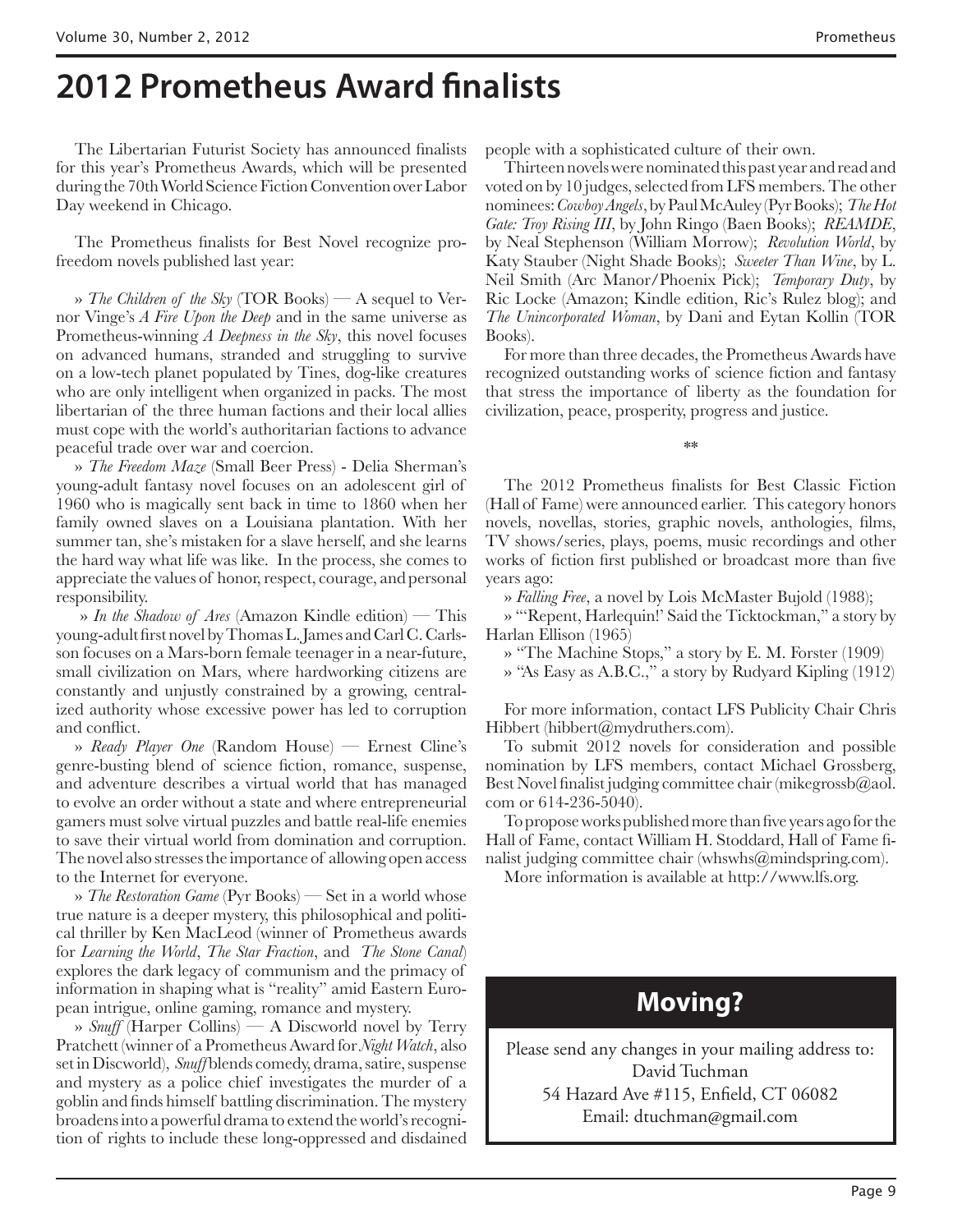# **2012 Prometheus Award finalists**

The Libertarian Futurist Society has announced finalists for this year's Prometheus Awards, which will be presented during the 70th World Science Fiction Convention over Labor Day weekend in Chicago.

The Prometheus finalists for Best Novel recognize profreedom novels published last year:

» *The Children of the Sky* (TOR Books) — A sequel to Vernor Vinge's *A Fire Upon the Deep* and in the same universe as Prometheus-winning *A Deepness in the Sky*, this novel focuses on advanced humans, stranded and struggling to survive on a low-tech planet populated by Tines, dog-like creatures who are only intelligent when organized in packs. The most libertarian of the three human factions and their local allies must cope with the world's authoritarian factions to advance peaceful trade over war and coercion.

» *The Freedom Maze* (Small Beer Press) - Delia Sherman's young-adult fantasy novel focuses on an adolescent girl of 1960 who is magically sent back in time to 1860 when her family owned slaves on a Louisiana plantation. With her summer tan, she's mistaken for a slave herself, and she learns the hard way what life was like. In the process, she comes to appreciate the values of honor, respect, courage, and personal responsibility.

 » *In the Shadow of Ares* (Amazon Kindle edition) — This young-adult first novel by Thomas L. James and Carl C. Carlsson focuses on a Mars-born female teenager in a near-future, small civilization on Mars, where hardworking citizens are constantly and unjustly constrained by a growing, centralized authority whose excessive power has led to corruption and conflict.

» *Ready Player One* (Random House) — Ernest Cline's genre-busting blend of science fiction, romance, suspense, and adventure describes a virtual world that has managed to evolve an order without a state and where entrepreneurial gamers must solve virtual puzzles and battle real-life enemies to save their virtual world from domination and corruption. The novel also stresses the importance of allowing open access to the Internet for everyone.

» *The Restoration Game* (Pyr Books) — Set in a world whose true nature is a deeper mystery, this philosophical and political thriller by Ken MacLeod (winner of Prometheus awards for *Learning the World*, *The Star Fraction*, and *The Stone Canal*) explores the dark legacy of communism and the primacy of information in shaping what is "reality" amid Eastern European intrigue, online gaming, romance and mystery.

» *Snuff* (Harper Collins) — A Discworld novel by Terry Pratchett (winner of a Prometheus Award for *Night Watch*, also set in Discworld), *Snuff* blends comedy, drama, satire, suspense and mystery as a police chief investigates the murder of a goblin and finds himself battling discrimination. The mystery broadens into a powerful drama to extend the world's recognition of rights to include these long-oppressed and disdained

people with a sophisticated culture of their own.

Thirteen novels were nominated this past year and read and voted on by 10 judges, selected from LFS members. The other nominees: *Cowboy Angels*, by Paul McAuley (Pyr Books); *The Hot Gate: Troy Rising III*, by John Ringo (Baen Books); *REAMDE*, by Neal Stephenson (William Morrow); *Revolution World*, by Katy Stauber (Night Shade Books); *Sweeter Than Wine*, by L. Neil Smith (Arc Manor/Phoenix Pick); *Temporary Duty*, by Ric Locke (Amazon; Kindle edition, Ric's Rulez blog); and *The Unincorporated Woman*, by Dani and Eytan Kollin (TOR Books).

For more than three decades, the Prometheus Awards have recognized outstanding works of science fiction and fantasy that stress the importance of liberty as the foundation for civilization, peace, prosperity, progress and justice.

 $**$ 

The 2012 Prometheus finalists for Best Classic Fiction (Hall of Fame) were announced earlier. This category honors novels, novellas, stories, graphic novels, anthologies, films, TV shows/series, plays, poems, music recordings and other works of fiction first published or broadcast more than five years ago:

» *Falling Free*, a novel by Lois McMaster Bujold (1988);

» "'Repent, Harlequin!' Said the Ticktockman," a story by Harlan Ellison (1965)

» "The Machine Stops," a story by E. M. Forster (1909)

» "As Easy as A.B.C.," a story by Rudyard Kipling (1912)

For more information, contact LFS Publicity Chair Chris Hibbert (hibbert@mydruthers.com).

To submit 2012 novels for consideration and possible nomination by LFS members, contact Michael Grossberg, Best Novel finalist judging committee chair (mikegrossb@aol. com or 614-236-5040).

To propose works published more than five years ago for the Hall of Fame, contact William H. Stoddard, Hall of Fame finalist judging committee chair (whswhs@mindspring.com).

More information is available at http://www.lfs.org.

# **Moving?**

Please send any changes in your mailing address to: David Tuchman 54 Hazard Ave #115, Enfield, CT 06082 Email: dtuchman@gmail.com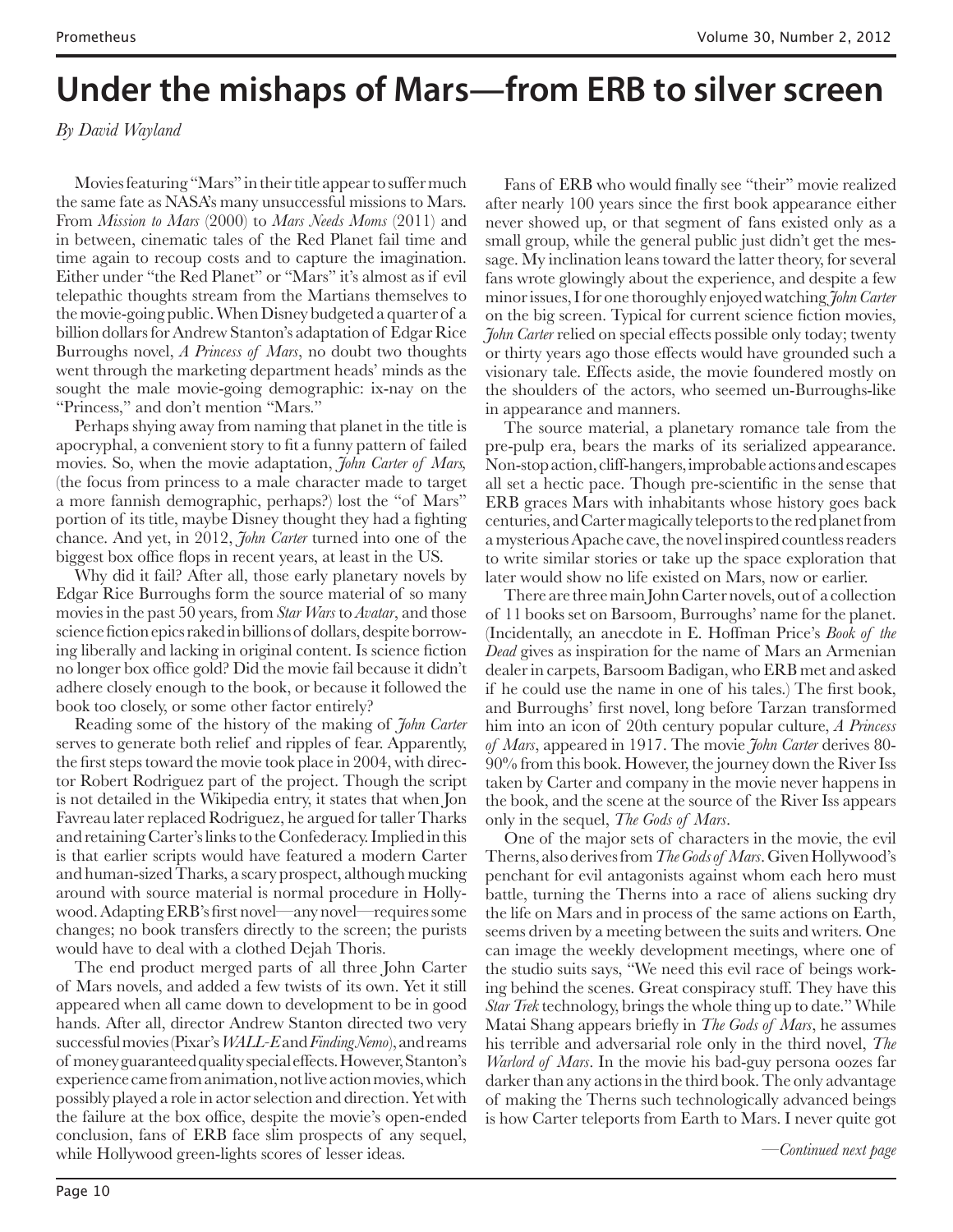# **Under the mishaps of Mars—from ERB to silver screen**

*By David Wayland*

Movies featuring "Mars" in their title appear to suffer much the same fate as NASA's many unsuccessful missions to Mars. From *Mission to Mars* (2000) to *Mars Needs Moms* (2011) and in between, cinematic tales of the Red Planet fail time and time again to recoup costs and to capture the imagination. Either under "the Red Planet" or "Mars" it's almost as if evil telepathic thoughts stream from the Martians themselves to the movie-going public. When Disney budgeted a quarter of a billion dollars for Andrew Stanton's adaptation of Edgar Rice Burroughs novel, *A Princess of Mars*, no doubt two thoughts went through the marketing department heads' minds as the sought the male movie-going demographic: ix-nay on the "Princess," and don't mention "Mars."

Perhaps shying away from naming that planet in the title is apocryphal, a convenient story to fit a funny pattern of failed movies. So, when the movie adaptation, *John Carter of Mars,* (the focus from princess to a male character made to target a more fannish demographic, perhaps?) lost the "of Mars" portion of its title, maybe Disney thought they had a fighting chance. And yet, in 2012, *John Carter* turned into one of the biggest box office flops in recent years, at least in the US.

Why did it fail? After all, those early planetary novels by Edgar Rice Burroughs form the source material of so many movies in the past 50 years, from *Star Wars* to *Avatar*, and those science fiction epics raked in billions of dollars, despite borrowing liberally and lacking in original content. Is science fiction no longer box office gold? Did the movie fail because it didn't adhere closely enough to the book, or because it followed the book too closely, or some other factor entirely?

Reading some of the history of the making of *John Carter* serves to generate both relief and ripples of fear. Apparently, the first steps toward the movie took place in 2004, with director Robert Rodriguez part of the project. Though the script is not detailed in the Wikipedia entry, it states that when Jon Favreau later replaced Rodriguez, he argued for taller Tharks and retaining Carter's links to the Confederacy. Implied in this is that earlier scripts would have featured a modern Carter and human-sized Tharks, a scary prospect, although mucking around with source material is normal procedure in Hollywood. Adapting ERB's first novel—any novel—requires some changes; no book transfers directly to the screen; the purists would have to deal with a clothed Dejah Thoris.

The end product merged parts of all three John Carter of Mars novels, and added a few twists of its own. Yet it still appeared when all came down to development to be in good hands. After all, director Andrew Stanton directed two very successful movies (Pixar's *WALL-E* and *Finding Nemo*), and reams of money guaranteed quality special effects. However, Stanton's experience came from animation, not live action movies, which possibly played a role in actor selection and direction. Yet with the failure at the box office, despite the movie's open-ended conclusion, fans of ERB face slim prospects of any sequel, while Hollywood green-lights scores of lesser ideas.

Fans of ERB who would finally see "their" movie realized after nearly 100 years since the first book appearance either never showed up, or that segment of fans existed only as a small group, while the general public just didn't get the message. My inclination leans toward the latter theory, for several fans wrote glowingly about the experience, and despite a few minor issues, I for one thoroughly enjoyed watching *John Carter* on the big screen. Typical for current science fiction movies, *John Carter* relied on special effects possible only today; twenty or thirty years ago those effects would have grounded such a visionary tale. Effects aside, the movie foundered mostly on the shoulders of the actors, who seemed un-Burroughs-like in appearance and manners.

The source material, a planetary romance tale from the pre-pulp era, bears the marks of its serialized appearance. Non-stop action, cliff-hangers, improbable actions and escapes all set a hectic pace. Though pre-scientific in the sense that ERB graces Mars with inhabitants whose history goes back centuries, and Carter magically teleports to the red planet from a mysterious Apache cave, the novel inspired countless readers to write similar stories or take up the space exploration that later would show no life existed on Mars, now or earlier.

There are three main John Carter novels, out of a collection of 11 books set on Barsoom, Burroughs' name for the planet. (Incidentally, an anecdote in E. Hoffman Price's *Book of the Dead* gives as inspiration for the name of Mars an Armenian dealer in carpets, Barsoom Badigan, who ERB met and asked if he could use the name in one of his tales.) The first book, and Burroughs' first novel, long before Tarzan transformed him into an icon of 20th century popular culture, *A Princess of Mars*, appeared in 1917. The movie *John Carter* derives 80- 90% from this book. However, the journey down the River Iss taken by Carter and company in the movie never happens in the book, and the scene at the source of the River Iss appears only in the sequel, *The Gods of Mars*.

One of the major sets of characters in the movie, the evil Therns, also derives from *The Gods of Mars*. Given Hollywood's penchant for evil antagonists against whom each hero must battle, turning the Therns into a race of aliens sucking dry the life on Mars and in process of the same actions on Earth, seems driven by a meeting between the suits and writers. One can image the weekly development meetings, where one of the studio suits says, "We need this evil race of beings working behind the scenes. Great conspiracy stuff. They have this *Star Trek* technology, brings the whole thing up to date." While Matai Shang appears briefly in *The Gods of Mars*, he assumes his terrible and adversarial role only in the third novel, *The Warlord of Mars*. In the movie his bad-guy persona oozes far darker than any actions in the third book. The only advantage of making the Therns such technologically advanced beings is how Carter teleports from Earth to Mars. I never quite got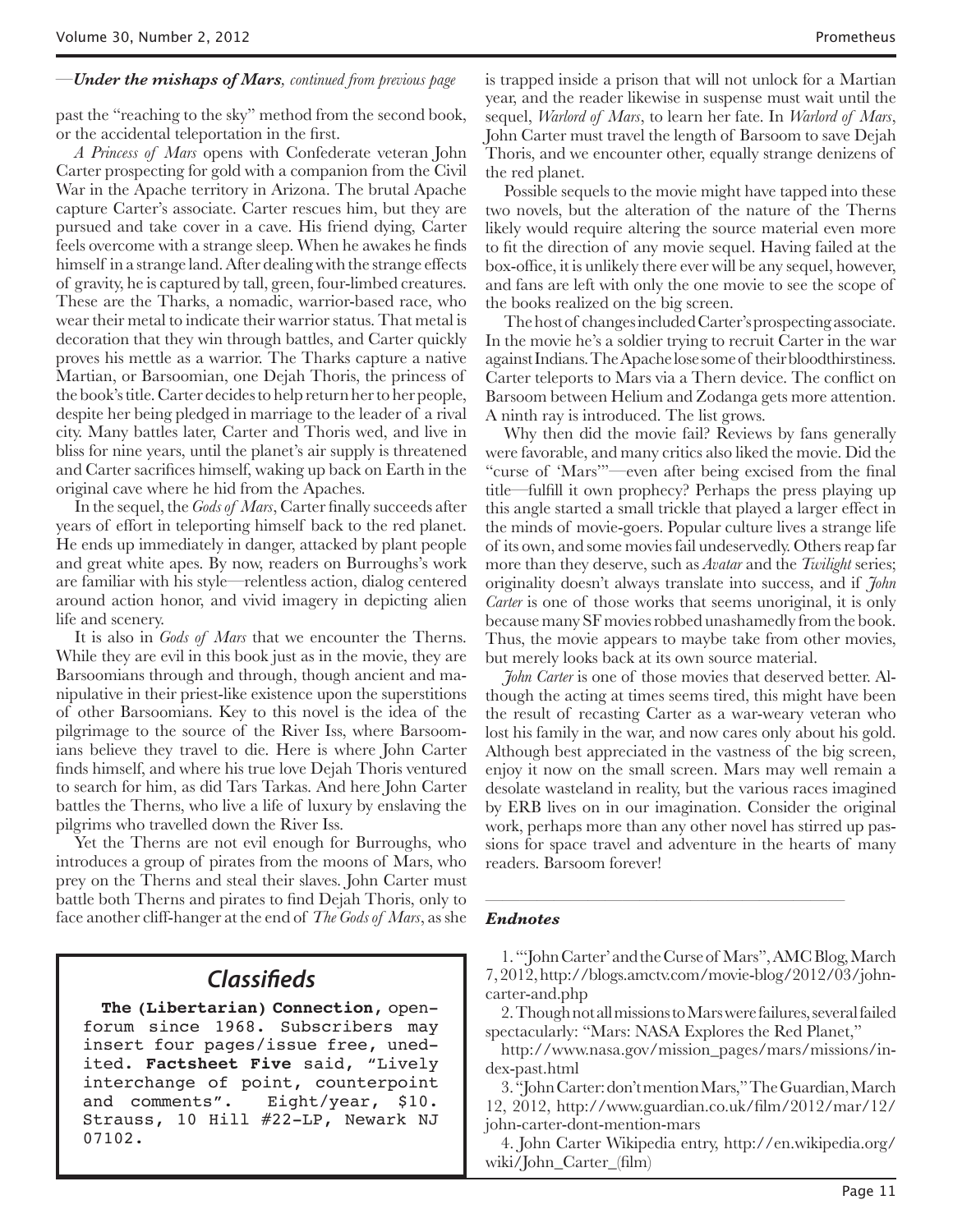#### *—Under the mishaps of Mars, continued from previous page*

past the "reaching to the sky" method from the second book, or the accidental teleportation in the first.

*A Princess of Mars* opens with Confederate veteran John Carter prospecting for gold with a companion from the Civil War in the Apache territory in Arizona. The brutal Apache capture Carter's associate. Carter rescues him, but they are pursued and take cover in a cave. His friend dying, Carter feels overcome with a strange sleep. When he awakes he finds himself in a strange land. After dealing with the strange effects of gravity, he is captured by tall, green, four-limbed creatures. These are the Tharks, a nomadic, warrior-based race, who wear their metal to indicate their warrior status. That metal is decoration that they win through battles, and Carter quickly proves his mettle as a warrior. The Tharks capture a native Martian, or Barsoomian, one Dejah Thoris, the princess of the book's title. Carter decides to help return her to her people, despite her being pledged in marriage to the leader of a rival city. Many battles later, Carter and Thoris wed, and live in bliss for nine years, until the planet's air supply is threatened and Carter sacrifices himself, waking up back on Earth in the original cave where he hid from the Apaches.

In the sequel, the *Gods of Mars*, Carter finally succeeds after years of effort in teleporting himself back to the red planet. He ends up immediately in danger, attacked by plant people and great white apes. By now, readers on Burroughs's work are familiar with his style—relentless action, dialog centered around action honor, and vivid imagery in depicting alien life and scenery.

It is also in *Gods of Mars* that we encounter the Therns. While they are evil in this book just as in the movie, they are Barsoomians through and through, though ancient and manipulative in their priest-like existence upon the superstitions of other Barsoomians. Key to this novel is the idea of the pilgrimage to the source of the River Iss, where Barsoomians believe they travel to die. Here is where John Carter finds himself, and where his true love Dejah Thoris ventured to search for him, as did Tars Tarkas. And here John Carter battles the Therns, who live a life of luxury by enslaving the pilgrims who travelled down the River Iss.

Yet the Therns are not evil enough for Burroughs, who introduces a group of pirates from the moons of Mars, who prey on the Therns and steal their slaves. John Carter must battle both Therns and pirates to find Dejah Thoris, only to face another cliff-hanger at the end of *The Gods of Mars*, as she

### **Classifieds**

**The (Libertarian) Connection**, openforum since 1968. Subscribers may insert four pages/issue free, unedited. **Factsheet Five** said, "Lively interchange of point, counterpoint and comments". Eight/year, \$10. Strauss, 10 Hill #22-LP, Newark NJ 07102.

is trapped inside a prison that will not unlock for a Martian year, and the reader likewise in suspense must wait until the sequel, *Warlord of Mars*, to learn her fate. In *Warlord of Mars*, John Carter must travel the length of Barsoom to save Dejah Thoris, and we encounter other, equally strange denizens of the red planet.

Possible sequels to the movie might have tapped into these two novels, but the alteration of the nature of the Therns likely would require altering the source material even more to fit the direction of any movie sequel. Having failed at the box-office, it is unlikely there ever will be any sequel, however, and fans are left with only the one movie to see the scope of the books realized on the big screen.

The host of changes included Carter's prospecting associate. In the movie he's a soldier trying to recruit Carter in the war against Indians. The Apache lose some of their bloodthirstiness. Carter teleports to Mars via a Thern device. The conflict on Barsoom between Helium and Zodanga gets more attention. A ninth ray is introduced. The list grows.

Why then did the movie fail? Reviews by fans generally were favorable, and many critics also liked the movie. Did the "curse of 'Mars'"—even after being excised from the final title—fulfill it own prophecy? Perhaps the press playing up this angle started a small trickle that played a larger effect in the minds of movie-goers. Popular culture lives a strange life of its own, and some movies fail undeservedly. Others reap far more than they deserve, such as *Avatar* and the *Twilight* series; originality doesn't always translate into success, and if *John Carter* is one of those works that seems unoriginal, it is only because many SF movies robbed unashamedly from the book. Thus, the movie appears to maybe take from other movies, but merely looks back at its own source material.

*John Carter* is one of those movies that deserved better. Although the acting at times seems tired, this might have been the result of recasting Carter as a war-weary veteran who lost his family in the war, and now cares only about his gold. Although best appreciated in the vastness of the big screen, enjoy it now on the small screen. Mars may well remain a desolate wasteland in reality, but the various races imagined by ERB lives on in our imagination. Consider the original work, perhaps more than any other novel has stirred up passions for space travel and adventure in the hearts of many readers. Barsoom forever!

#### *Endnotes*

1. "'John Carter' and the Curse of Mars", AMC Blog, March 7, 2012, http://blogs.amctv.com/movie-blog/2012/03/johncarter-and.php

 $\frac{1}{\sqrt{2}}$  ,  $\frac{1}{\sqrt{2}}$  ,  $\frac{1}{\sqrt{2}}$  ,  $\frac{1}{\sqrt{2}}$  ,  $\frac{1}{\sqrt{2}}$  ,  $\frac{1}{\sqrt{2}}$  ,  $\frac{1}{\sqrt{2}}$  ,  $\frac{1}{\sqrt{2}}$  ,  $\frac{1}{\sqrt{2}}$  ,  $\frac{1}{\sqrt{2}}$  ,  $\frac{1}{\sqrt{2}}$  ,  $\frac{1}{\sqrt{2}}$  ,  $\frac{1}{\sqrt{2}}$  ,  $\frac{1}{\sqrt{2}}$  ,  $\frac{1}{\sqrt{2}}$ 

2. Though not all missions to Mars were failures, several failed spectacularly: "Mars: NASA Explores the Red Planet,"

http://www.nasa.gov/mission\_pages/mars/missions/index-past.html

3. "John Carter: don't mention Mars," The Guardian, March 12, 2012, http://www.guardian.co.uk/film/2012/mar/12/ john-carter-dont-mention-mars

4. John Carter Wikipedia entry, http://en.wikipedia.org/ wiki/John\_Carter\_(film)